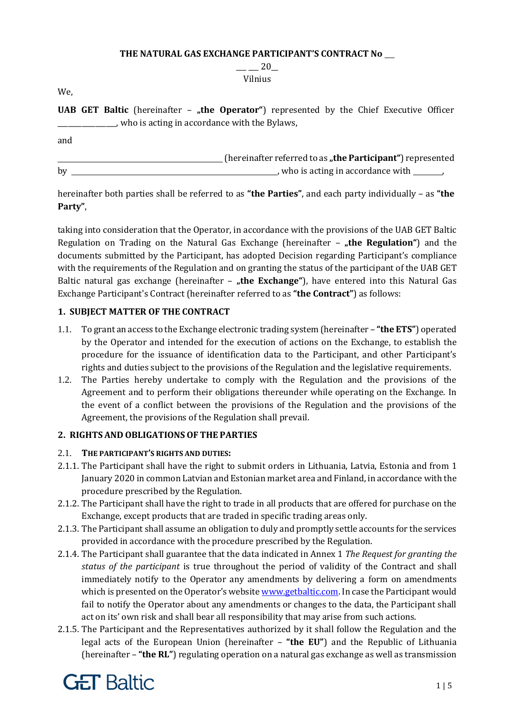#### **THE NATURAL GAS EXCHANGE PARTICIPANT'S CONTRACT No**

 $-20$ Vilnius

We,

**UAB GET Baltic** (hereinafter - "the Operator") represented by the Chief Executive Officer \_\_\_\_\_\_\_\_\_\_\_\_\_\_\_\_\_, who is acting in accordance with the Bylaws,

and

**EXECUTE:** (hereinafter referred to as **"the Participant**") represented by  $\qquad \qquad$  , who is acting in accordance with  $\qquad \qquad$ 

hereinafter both parties shall be referred to as **"the Parties"**, and each party individually – as **"the Party"**,

taking into consideration that the Operator, in accordance with the provisions of the UAB GET Baltic Regulation on Trading on the Natural Gas Exchange (hereinafter - "the Regulation") and the documents submitted by the Participant, has adopted Decision regarding Participant's compliance with the requirements of the Regulation and on granting the status of the participant of the UAB GET Baltic natural gas exchange (hereinafter – "the Exchange"), have entered into this Natural Gas Exchange Participant's Contract (hereinafter referred to as **"the Contract"**) as follows:

### **1. SUBJECT MATTER OF THE CONTRACT**

- 1.1. To grant an access to the Exchange electronic trading system (hereinafter **"the ETS"**) operated by the Operator and intended for the execution of actions on the Exchange, to establish the procedure for the issuance of identification data to the Participant, and other Participant's rights and duties subject to the provisions of the Regulation and the legislative requirements.
- 1.2. The Parties hereby undertake to comply with the Regulation and the provisions of the Agreement and to perform their obligations thereunder while operating on the Exchange. In the event of a conflict between the provisions of the Regulation and the provisions of the Agreement, the provisions of the Regulation shall prevail.

### **2. RIGHTS AND OBLIGATIONS OF THE PARTIES**

#### 2.1. **THE PARTICIPANT'S RIGHTS AND DUTIES:**

- 2.1.1. The Participant shall have the right to submit orders in Lithuania, Latvia, Estonia and from 1 January 2020 in common Latvian and Estonian market area and Finland, in accordance with the procedure prescribed by the Regulation.
- 2.1.2. The Participant shall have the right to trade in all products that are offered for purchase on the Exchange, except products that are traded in specific trading areas only.
- 2.1.3. The Participant shall assume an obligation to duly and promptly settle accounts for the services provided in accordance with the procedure prescribed by the Regulation.
- 2.1.4. The Participant shall guarantee that the data indicated in Annex 1 *The Request for granting the status of the participant* is true throughout the period of validity of the Contract and shall immediately notify to the Operator any amendments by delivering a form on amendments which is presented on the Operator's website [www.getbaltic.com.](http://www.getbaltic.com/) In case the Participant would fail to notify the Operator about any amendments or changes to the data, the Participant shall act on its' own risk and shall bear all responsibility that may arise from such actions.
- 2.1.5. The Participant and the Representatives authorized by it shall follow the Regulation and the legal acts of the European Union (hereinafter – **"the EU"**) and the Republic of Lithuania (hereinafter – **"the RL"**) regulating operation on a natural gas exchange as well as transmission

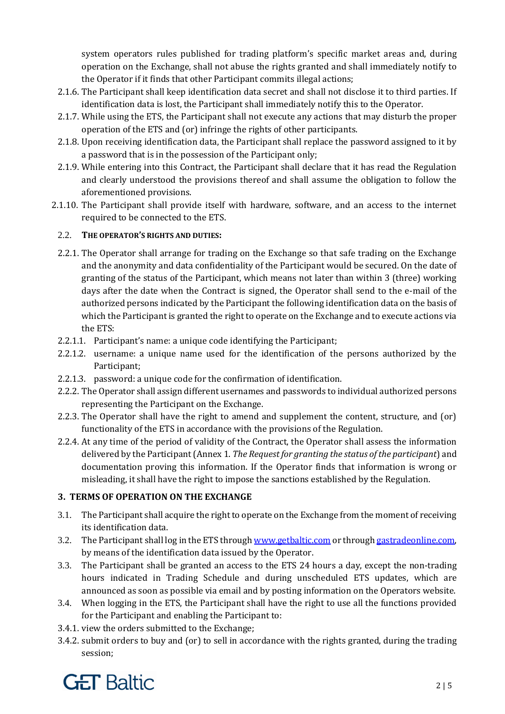system operators rules published for trading platform's specific market areas and, during operation on the Exchange, shall not abuse the rights granted and shall immediately notify to the Operator if it finds that other Participant commits illegal actions;

- 2.1.6. The Participant shall keep identification data secret and shall not disclose it to third parties. If identification data is lost, the Participant shall immediately notify this to the Operator.
- 2.1.7. While using the ETS, the Participant shall not execute any actions that may disturb the proper operation of the ETS and (or) infringe the rights of other participants.
- 2.1.8. Upon receiving identification data, the Participant shall replace the password assigned to it by a password that is in the possession of the Participant only;
- 2.1.9. While entering into this Contract, the Participant shall declare that it has read the Regulation and clearly understood the provisions thereof and shall assume the obligation to follow the aforementioned provisions.
- 2.1.10. The Participant shall provide itself with hardware, software, and an access to the internet required to be connected to the ETS.

## 2.2. **THE OPERATOR'S RIGHTS AND DUTIES:**

- 2.2.1. The Operator shall arrange for trading on the Exchange so that safe trading on the Exchange and the anonymity and data confidentiality of the Participant would be secured. On the date of granting of the status of the Participant, which means not later than within 3 (three) working days after the date when the Contract is signed, the Operator shall send to the e-mail of the authorized persons indicated by the Participant the following identification data on the basis of which the Participant is granted the right to operate on the Exchange and to execute actions via the ETS:
- 2.2.1.1. Participant's name: a unique code identifying the Participant;
- 2.2.1.2. username: a unique name used for the identification of the persons authorized by the Participant;
- 2.2.1.3. password: a unique code for the confirmation of identification.
- 2.2.2. The Operator shall assign different usernames and passwords to individual authorized persons representing the Participant on the Exchange.
- 2.2.3. The Operator shall have the right to amend and supplement the content, structure, and (or) functionality of the ETS in accordance with the provisions of the Regulation.
- 2.2.4. At any time of the period of validity of the Contract, the Operator shall assess the information delivered by the Participant (Annex 1. *The Request for granting the status of the participant*) and documentation proving this information. If the Operator finds that information is wrong or misleading, it shall have the right to impose the sanctions established by the Regulation.

# **3. TERMS OF OPERATION ON THE EXCHANGE**

- 3.1. The Participant shall acquire the right to operate on the Exchange from the moment of receiving its identification data.
- 3.2. The Participant shall log in the ETS throug[h www.getbaltic.com](http://www.getbaltic.com/) or through gastradeonline.com, by means of the identification data issued by the Operator.
- 3.3. The Participant shall be granted an access to the ETS 24 hours a day, except the non-trading hours indicated in Trading Schedule and during unscheduled ETS updates, which are announced as soon as possible via email and by posting information on the Operators website.
- 3.4. When logging in the ETS, the Participant shall have the right to use all the functions provided for the Participant and enabling the Participant to:
- 3.4.1. view the orders submitted to the Exchange;
- 3.4.2. submit orders to buy and (or) to sell in accordance with the rights granted, during the trading session;

# **GET Baltic**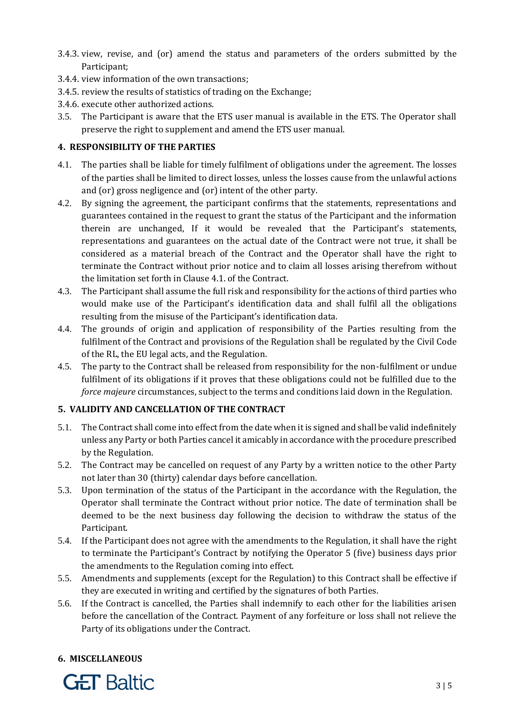- 3.4.3. view, revise, and (or) amend the status and parameters of the orders submitted by the Participant;
- 3.4.4. view information of the own transactions;
- 3.4.5. review the results of statistics of trading on the Exchange;
- 3.4.6. execute other authorized actions.
- 3.5. The Participant is aware that the ETS user manual is available in the ETS. The Operator shall preserve the right to supplement and amend the ETS user manual.

#### **4. RESPONSIBILITY OF THE PARTIES**

- 4.1. The parties shall be liable for timely fulfilment of obligations under the agreement. The losses of the parties shall be limited to direct losses, unless the losses cause from the unlawful actions and (or) gross negligence and (or) intent of the other party.
- 4.2. By signing the agreement, the participant confirms that the statements, representations and guarantees contained in the request to grant the status of the Participant and the information therein are unchanged, If it would be revealed that the Participant's statements, representations and guarantees on the actual date of the Contract were not true, it shall be considered as a material breach of the Contract and the Operator shall have the right to terminate the Contract without prior notice and to claim all losses arising therefrom without the limitation set forth in Clause 4.1. of the Contract.
- 4.3. The Participant shall assume the full risk and responsibility for the actions of third parties who would make use of the Participant's identification data and shall fulfil all the obligations resulting from the misuse of the Participant's identification data.
- 4.4. The grounds of origin and application of responsibility of the Parties resulting from the fulfilment of the Contract and provisions of the Regulation shall be regulated by the Civil Code of the RL, the EU legal acts, and the Regulation.
- 4.5. The party to the Contract shall be released from responsibility for the non-fulfilment or undue fulfilment of its obligations if it proves that these obligations could not be fulfilled due to the *force majeure* circumstances, subject to the terms and conditions laid down in the Regulation.

### **5. VALIDITY AND CANCELLATION OF THE CONTRACT**

- 5.1. The Contract shall come into effect from the date when it is signed and shall be valid indefinitely unless any Party or both Parties cancel it amicably in accordance with the procedure prescribed by the Regulation.
- 5.2. The Contract may be cancelled on request of any Party by a written notice to the other Party not later than 30 (thirty) calendar days before cancellation.
- 5.3. Upon termination of the status of the Participant in the accordance with the Regulation, the Operator shall terminate the Contract without prior notice. The date of termination shall be deemed to be the next business day following the decision to withdraw the status of the Participant.
- 5.4. If the Participant does not agree with the amendments to the Regulation, it shall have the right to terminate the Participant's Contract by notifying the Operator 5 (five) business days prior the amendments to the Regulation coming into effect.
- 5.5. Amendments and supplements (except for the Regulation) to this Contract shall be effective if they are executed in writing and certified by the signatures of both Parties.
- 5.6. If the Contract is cancelled, the Parties shall indemnify to each other for the liabilities arisen before the cancellation of the Contract. Payment of any forfeiture or loss shall not relieve the Party of its obligations under the Contract.

### **6. MISCELLANEOUS**

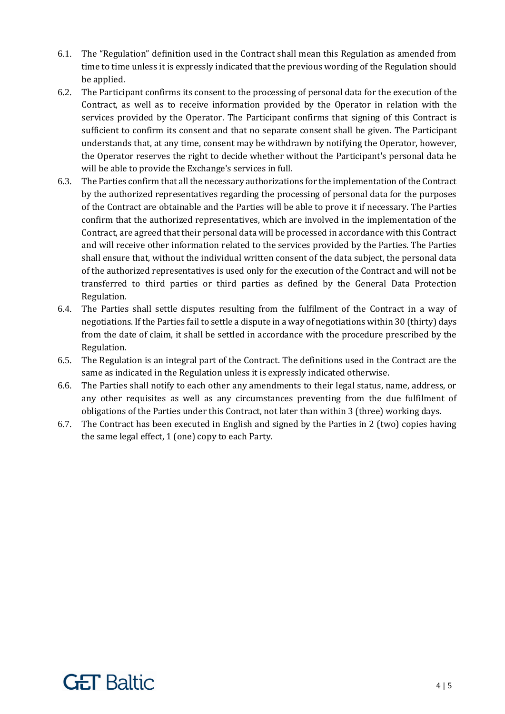- 6.1. The "Regulation" definition used in the Contract shall mean this Regulation as amended from time to time unless it is expressly indicated that the previous wording of the Regulation should be applied.
- 6.2. The Participant confirms its consent to the processing of personal data for the execution of the Contract, as well as to receive information provided by the Operator in relation with the services provided by the Operator. The Participant confirms that signing of this Contract is sufficient to confirm its consent and that no separate consent shall be given. The Participant understands that, at any time, consent may be withdrawn by notifying the Operator, however, the Operator reserves the right to decide whether without the Participant's personal data he will be able to provide the Exchange's services in full.
- 6.3. The Parties confirm that all the necessary authorizations for the implementation of the Contract by the authorized representatives regarding the processing of personal data for the purposes of the Contract are obtainable and the Parties will be able to prove it if necessary. The Parties confirm that the authorized representatives, which are involved in the implementation of the Contract, are agreed that their personal data will be processed in accordance with this Contract and will receive other information related to the services provided by the Parties. The Parties shall ensure that, without the individual written consent of the data subject, the personal data of the authorized representatives is used only for the execution of the Contract and will not be transferred to third parties or third parties as defined by the General Data Protection Regulation.
- 6.4. The Parties shall settle disputes resulting from the fulfilment of the Contract in a way of negotiations. If the Parties fail to settle a dispute in a way of negotiations within 30 (thirty) days from the date of claim, it shall be settled in accordance with the procedure prescribed by the Regulation.
- 6.5. The Regulation is an integral part of the Contract. The definitions used in the Contract are the same as indicated in the Regulation unless it is expressly indicated otherwise.
- 6.6. The Parties shall notify to each other any amendments to their legal status, name, address, or any other requisites as well as any circumstances preventing from the due fulfilment of obligations of the Parties under this Contract, not later than within 3 (three) working days.
- 6.7. The Contract has been executed in English and signed by the Parties in 2 (two) copies having the same legal effect, 1 (one) copy to each Party.